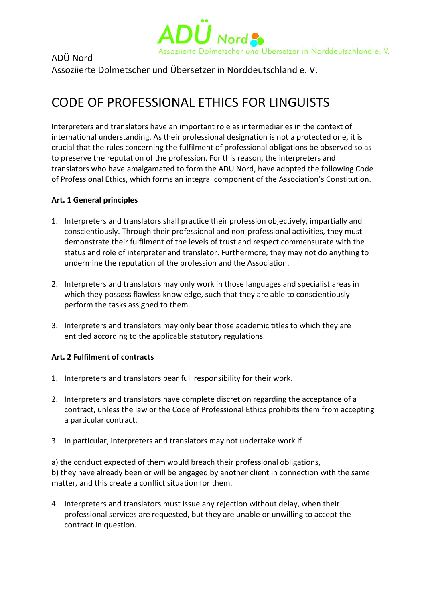

# ADÜ Nord

Assoziierte Dolmetscher und Übersetzer in Norddeutschland e. V.

# CODE OF PROFESSIONAL ETHICS FOR LINGUISTS

Interpreters and translators have an important role as intermediaries in the context of international understanding. As their professional designation is not a protected one, it is crucial that the rules concerning the fulfilment of professional obligations be observed so as to preserve the reputation of the profession. For this reason, the interpreters and translators who have amalgamated to form the ADÜ Nord, have adopted the following Code of Professional Ethics, which forms an integral component of the Association's Constitution.

## **Art. 1 General principles**

- 1. Interpreters and translators shall practice their profession objectively, impartially and conscientiously. Through their professional and non-professional activities, they must demonstrate their fulfilment of the levels of trust and respect commensurate with the status and role of interpreter and translator. Furthermore, they may not do anything to undermine the reputation of the profession and the Association.
- 2. Interpreters and translators may only work in those languages and specialist areas in which they possess flawless knowledge, such that they are able to conscientiously perform the tasks assigned to them.
- 3. Interpreters and translators may only bear those academic titles to which they are entitled according to the applicable statutory regulations.

## **Art. 2 Fulfilment of contracts**

- 1. Interpreters and translators bear full responsibility for their work.
- 2. Interpreters and translators have complete discretion regarding the acceptance of a contract, unless the law or the Code of Professional Ethics prohibits them from accepting a particular contract.
- 3. In particular, interpreters and translators may not undertake work if

a) the conduct expected of them would breach their professional obligations, b) they have already been or will be engaged by another client in connection with the same matter, and this create a conflict situation for them.

4. Interpreters and translators must issue any rejection without delay, when their professional services are requested, but they are unable or unwilling to accept the contract in question.